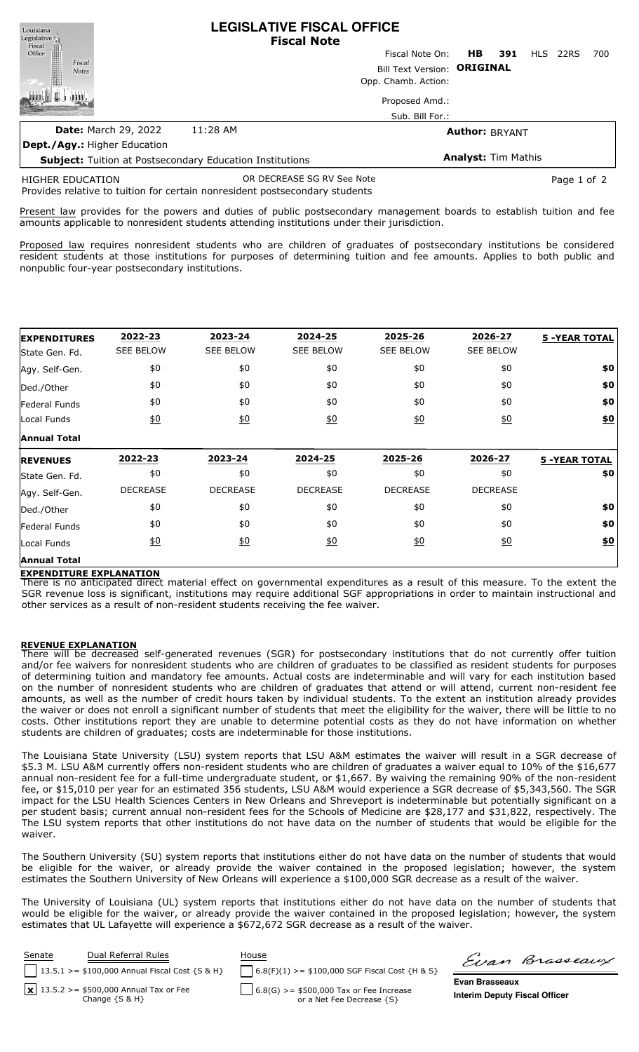| <b>Subject:</b> Tuition at Postsecondary Education Institutions                                              |  |                           | <b>Analyst: Tim Mathis</b>  |     |     |     |      |     |  |
|--------------------------------------------------------------------------------------------------------------|--|---------------------------|-----------------------------|-----|-----|-----|------|-----|--|
| Dept./Agy.: Higher Education                                                                                 |  |                           |                             |     |     |     |      |     |  |
| <b>Date: March 29, 2022</b><br>11:28 AM                                                                      |  |                           | <b>Author: BRYANT</b>       |     |     |     |      |     |  |
|                                                                                                              |  |                           | Sub. Bill For.:             |     |     |     |      |     |  |
|                                                                                                              |  |                           |                             |     |     |     |      |     |  |
|                                                                                                              |  | Proposed Amd.:            |                             |     |     |     |      |     |  |
|                                                                                                              |  |                           | Opp. Chamb. Action:         |     |     |     |      |     |  |
| <b>Notes</b>                                                                                                 |  |                           | Bill Text Version: ORIGINAL |     |     |     |      |     |  |
| Fiscal                                                                                                       |  |                           | Fiscal Note On:             | HB. | 391 | HLS | 22RS | 700 |  |
| $\begin{tabular}{c} \bf \textit{Legislative} \\ \bf \textit{Fiscal} \\ \bf \textit{Office} \\ \end{tabular}$ |  |                           |                             |     |     |     |      |     |  |
|                                                                                                              |  | <b>Fiscal Note</b>        |                             |     |     |     |      |     |  |
| Louisiana                                                                                                    |  | LEGISLATIVE FISCAL OFFICE |                             |     |     |     |      |     |  |

**LEGISLATIVE FISCAL OFFICE**

Provides relative to tuition for certain nonresident postsecondary students HIGHER EDUCATION OR DECREASE SG RV See Note **Page 1** of 2

Present law provides for the powers and duties of public postsecondary management boards to establish tuition and fee amounts applicable to nonresident students attending institutions under their jurisdiction.

Proposed law requires nonresident students who are children of graduates of postsecondary institutions be considered resident students at those institutions for purposes of determining tuition and fee amounts. Applies to both public and nonpublic four-year postsecondary institutions.

| <b>EXPENDITURES</b> | 2022-23           | 2023-24          | 2024-25           | 2025-26          | 2026-27          | <b>5 -YEAR TOTAL</b> |
|---------------------|-------------------|------------------|-------------------|------------------|------------------|----------------------|
| State Gen. Fd.      | <b>SEE BELOW</b>  | <b>SEE BELOW</b> | <b>SEE BELOW</b>  | <b>SEE BELOW</b> | <b>SEE BELOW</b> |                      |
| Agy. Self-Gen.      | \$0               | \$0              | \$0               | \$0              | \$0              | \$0                  |
| Ded./Other          | \$0               | \$0              | \$0               | \$0              | \$0              | \$0                  |
| Federal Funds       | \$0               | \$0              | \$0               | \$0              | \$0              | \$0                  |
| Local Funds         | $\underline{50}$  | $\underline{50}$ | $\frac{10}{20}$   | 60               | $\underline{50}$ | $\underline{\$0}$    |
| <b>Annual Total</b> |                   |                  |                   |                  |                  |                      |
| <b>IREVENUES</b>    | 2022-23           | 2023-24          | 2024-25           | 2025-26          | 2026-27          | <b>5 -YEAR TOTAL</b> |
| State Gen. Fd.      | \$0               | \$0              | \$0               | \$0              | \$0              | \$0                  |
| Agy. Self-Gen.      | <b>DECREASE</b>   | <b>DECREASE</b>  | <b>DECREASE</b>   | <b>DECREASE</b>  | <b>DECREASE</b>  |                      |
| Ded./Other          | \$0               | \$0              | \$0               | \$0              | \$0              | \$0                  |
| Federal Funds       | \$0               | \$0              | \$0               | \$0              | \$0              | \$0                  |
| Local Funds         | $\underline{\$0}$ | 60               | $\underline{\$0}$ | 60               | $\underline{50}$ | \$0                  |
| <b>Annual Total</b> |                   |                  |                   |                  |                  |                      |

## **EXPENDITURE EXPLANATION**

There is no anticipated direct material effect on governmental expenditures as a result of this measure. To the extent the SGR revenue loss is significant, institutions may require additional SGF appropriations in order to maintain instructional and other services as a result of non-resident students receiving the fee waiver.

## **REVENUE EXPLANATION**

There will be decreased self-generated revenues (SGR) for postsecondary institutions that do not currently offer tuition and/or fee waivers for nonresident students who are children of graduates to be classified as resident students for purposes of determining tuition and mandatory fee amounts. Actual costs are indeterminable and will vary for each institution based on the number of nonresident students who are children of graduates that attend or will attend, current non-resident fee amounts, as well as the number of credit hours taken by individual students. To the extent an institution already provides the waiver or does not enroll a significant number of students that meet the eligibility for the waiver, there will be little to no costs. Other institutions report they are unable to determine potential costs as they do not have information on whether students are children of graduates; costs are indeterminable for those institutions.

The Louisiana State University (LSU) system reports that LSU A&M estimates the waiver will result in a SGR decrease of \$5.3 M. LSU A&M currently offers non-resident students who are children of graduates a waiver equal to 10% of the \$16,677 annual non-resident fee for a full-time undergraduate student, or \$1,667. By waiving the remaining 90% of the non-resident fee, or \$15,010 per year for an estimated 356 students, LSU A&M would experience a SGR decrease of \$5,343,560. The SGR impact for the LSU Health Sciences Centers in New Orleans and Shreveport is indeterminable but potentially significant on a per student basis; current annual non-resident fees for the Schools of Medicine are \$28,177 and \$31,822, respectively. The The LSU system reports that other institutions do not have data on the number of students that would be eligible for the waiver.

The Southern University (SU) system reports that institutions either do not have data on the number of students that would be eligible for the waiver, or already provide the waiver contained in the proposed legislation; however, the system estimates the Southern University of New Orleans will experience a \$100,000 SGR decrease as a result of the waiver.

The University of Louisiana (UL) system reports that institutions either do not have data on the number of students that would be eligible for the waiver, or already provide the waiver contained in the proposed legislation; however, the system estimates that UL Lafayette will experience a \$672,672 SGR decrease as a result of the waiver.

| Senate | Dual Referral Rules<br>13.5.1 >= $$100,000$ Annual Fiscal Cost {S & H} | House<br>$\bigcap$ 6.8(F)(1) >= \$100,000 SGF Fiscal Cost {H & S} | Evan                  |
|--------|------------------------------------------------------------------------|-------------------------------------------------------------------|-----------------------|
|        | $\sqrt{13.5.2}$ >= \$500,000 Annual Tax or Fee                         | $6.8(G)$ >= \$500,000 Tax or Fee Increase                         | <b>Evan Brasseau</b>  |
|        | Change $\{S \& H\}$                                                    | or a Net Fee Decrease {S}                                         | <b>Interim Deputy</b> |

Brasseaux

**Evan Brasseaux Fiscal Officer**